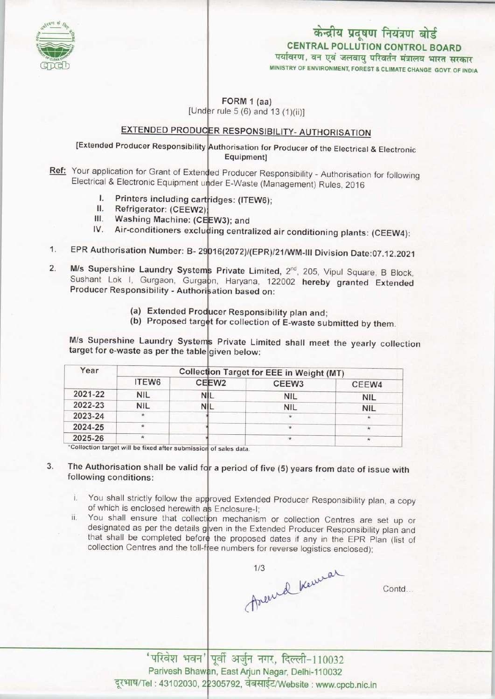

# केन्द्रीय प्रदूषण नियंत्रण बोर्ड CENTRAL POLLUTION CONTROL BOARD<br>पर्यावरण, वन एवं जलवायु परिवर्तन मंत्रालय भारत सरकार

MINISTRY OF ENVIRONMENT, FOREST & CUMATE CHANGE GOVT. OF INDIA

FORM 1 (aa)

[Under rule 5 (6) and 13  $(1)(ii)$ ]

## EXTENDED PRODUCER RESPONSIBILITY- AUTHORISATION

### [Extended Producer Responsibility Authorisation for Producer of the Electrical & Electronic Equipment]

- . Your application for Grant of Extended Producer Responsibility Authorisation for following Electrical & Electronic Equipment under E-Waste (Management) Rules, 2016<br>
I. Printers including cartridges: (ITEW6);<br>
Befriencton: (OFFN10)
	- idges: (ITEW6);
	- I. Printers including can<br>II. Refrigerator: (CEEW2<br>II. Washing Machine: (C
	- Washing Machine: (CEEW3); and II. Refrigerator: (CEEW2);<br>III. Washing Machine: (CE<br>IV. Air-conditioners exclus
	- ing centralized: (CEEW2);<br>III. Washing Machine: (CEEW3); and<br>IV. Air-conditioners excluding centralized air conditioning plants: (CEEW4):
- EPR Authorisation Number: B- 29016(2072)/(EPR)/21/WM-III Division Date:07.12.2021  $1.$
- M/s Supershine Laundry Systems Private Limited, 2<sup>nd</sup>, 205, Vipul Square, B Block  $2.$ and Supersimie Lauriary Systems Private Limited, 2<sup>1</sup>, 205, Vipul Square, B Block<br>Sushant Lok I, Gurgaon, Gurgaon, Haryana, 122002 hereby granted Extended Producer Responsibility - Authorisation based on:
	- (a) Extended Producer Responsibility plan and;
	- (a) Extended Producer Responsibility plan and;<br>(b) Proposed target for collection of E-waste submitted by them.

M/s Supershine Laundry Systems Private Limited shall meet the yearly collection target for e-waste as per the table given below:

| Year    | Collection Target for EEE in Weight (MT) |                   |                   |            |
|---------|------------------------------------------|-------------------|-------------------|------------|
|         | <b>ITEW6</b>                             | CEEW <sub>2</sub> | CEEW <sub>3</sub> | CEEW4      |
| 2021-22 | <b>NIL</b>                               | NIL               | <b>NIL</b>        | <b>NIL</b> |
| 2022-23 | <b>NIL</b>                               | VIL               | <b>NIL</b>        | <b>NIL</b> |
| 2023-24 | $\star$                                  |                   | $\star$           |            |
| 2024-25 | $\star$                                  |                   |                   | $\star$    |
| 2025-26 |                                          |                   | $\star$           | $\star$    |

\*Collection target will be fixed after submission of sales data.

The Authorisation shall be valid for a period of five (5) years from date of issue with 3. following conditions:

- i. You shall strictly follow the approved Extended Producer Responsibility plan, a copy of which is enclosed herewith as Enclosure-I
- ii. You shall ensure that collection mechanism or collection Centres are set up or designated as per the details given in the Extended Producer Responsibility plan and that shall be completed before the proposed dates if any in the EPR Plan (list of collection Centres and the toll-free numbers for reverse logistics enclosed);

Arend Kenner

Contd.

'परिवेश भवन' पूर्वी अर्जुन नगर, दिल्ली-110032 Parivesh Bhawan, East Arjun Nagar, Delhi-110032 दूरभाष/Tel: 43102030, 22305792, वेबसाईट/Website: www.cpcb.nic.in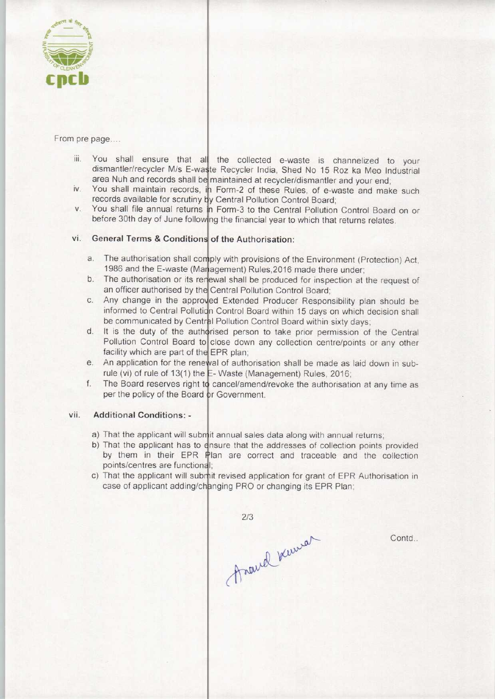

#### From pre page....

- You shall ensure that all the collected e-waste is channelized to your iii. dismantler/recycler M/s E-waste Recycler India, Shed No 15 Roz ka Meo Industria area Nuh and records shall be maintained at recycler/dismantler and your end
- You shall maintain records, in Form-2 of these Rules, of e-waste and make such  $iv$ . records available for scrutiny by Central Pollution Control Board;
- You shall file annual returns in Form-3 to the Central Pollution Control Board on or V. before 30th day of June following the financial year to which that returns relates.

# vi. General Terms & Conditions of the Authorisation:

- The authorisation shall comply with provisions of the Environment (Protection) Act 1986 and the E-waste (Management) Rules,2016 made there under
- The authorisation or its renewal shall be produced for inspection at the request of an officer authorised by the Central Pollution Control Board;
- Any change in the approved Extended Producer Responsibility plan should be  $C.$ informed to Central Pollution Control Board within 15 days on which decision shall be communicated by Central Pollution Control Board within sixty days
- It is the duty of the authorised person to take prior permission of the Central d. Pollution Control Board to close down any collection centre/points or any other facility which are part of the EPR plan;
- An application for the renewal of authorisation shall be made as laid down in subrule (vi) of rule of 13(1) the E-Waste (Management) Rules, 2016
- The Board reserves right to cancel/amend/revoke the authorisation at any time as  $f_{\cdot}$ per the policy of the Board or Government.

#### vii. Additional Conditions: -

- a) That the applicant will subm<sub>it annual sales data along with annual returns</sub>
- b) That the applicant has to ensure that the addresses of collection points provided In the approach has to show that the diameters of concentent points provided<br>by them in their EPR Plan are correct and traceable and the collection points/centres are functional;
- c) That the applicant will submit revised application for grant of EPR Authorisation in case of applicant adding/changing PRO or changing its EPR Plan

 $2/3$ Anaud Kewer

Contd...